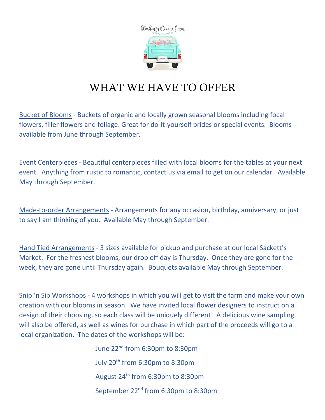

## WHAT WE HAVE TO OFFER

Bucket of Blooms - Buckets of organic and locally grown seasonal blooms including focal flowers, filler flowers and foliage. Great for do-it-yourself brides or special events. Blooms available from June through September.

Event Centerpieces - Beautiful centerpieces filled with local blooms for the tables at your next event. Anything from rustic to romantic, contact us via email to get on our calendar. Available May through September.

Made-to-order Arrangements - Arrangements for any occasion, birthday, anniversary, or just to say I am thinking of you. Available May through September.

Hand Tied Arrangements - 3 sizes available for pickup and purchase at our local Sackett's Market. For the freshest blooms, our drop off day is Thursday. Once they are gone for the week, they are gone until Thursday again. Bouquets available May through September.

Snip 'n Sip Workshops - 4 workshops in which you will get to visit the farm and make your own creation with our blooms in season. We have invited local flower designers to instruct on a design of their choosing, so each class will be uniquely different! A delicious wine sampling will also be offered, as well as wines for purchase in which part of the proceeds will go to a local organization. The dates of the workshops will be:

> June 22nd from 6:30pm to 8:30pm July 20<sup>th</sup> from 6:30pm to 8:30pm August 24th from 6:30pm to 8:30pm September 22<sup>nd</sup> from 6:30pm to 8:30pm